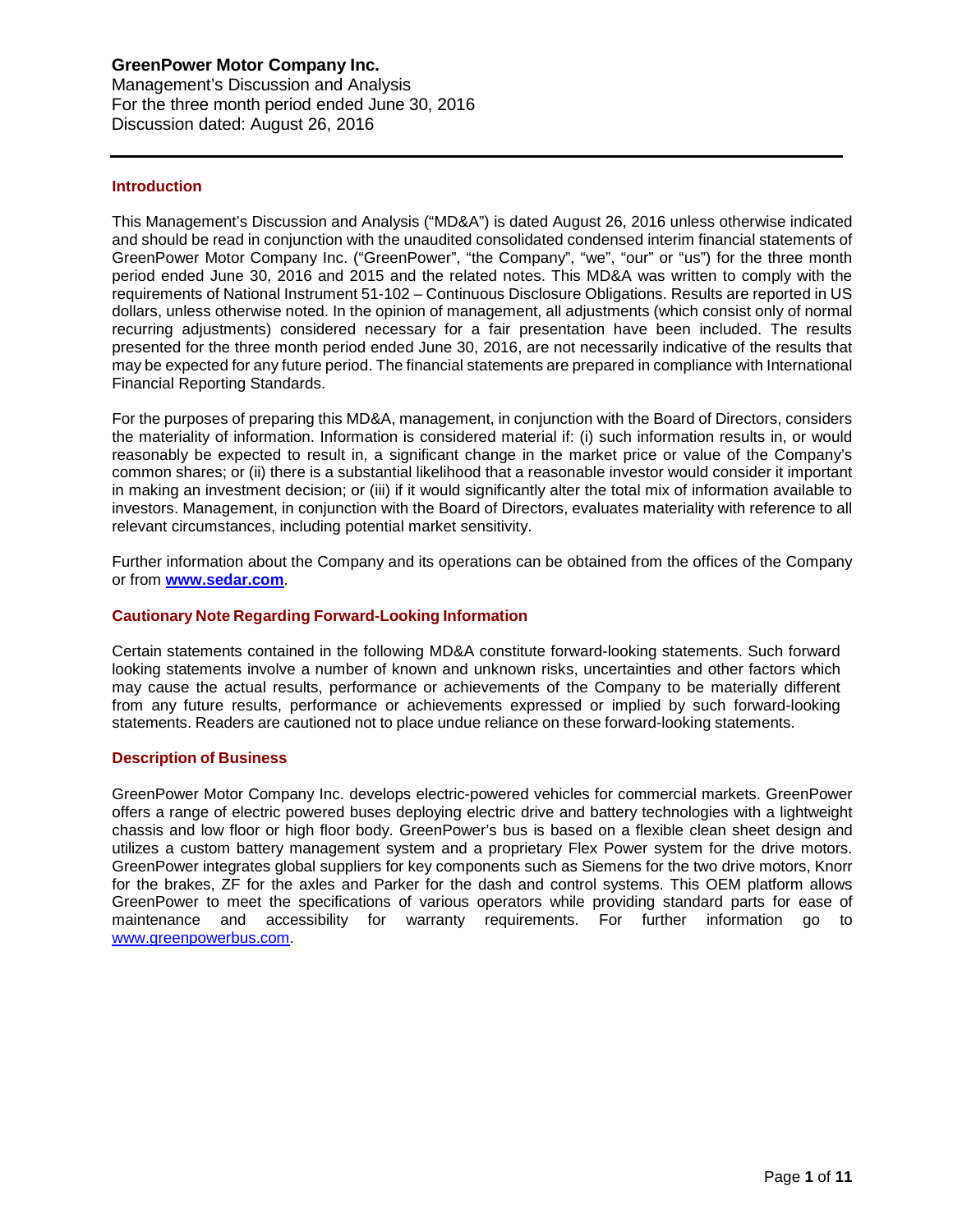# **GreenPower Motor Company Inc.**

Management's Discussion and Analysis For the three month period ended June 30, 2016 Discussion dated: August 26, 2016

## **Introduction**

This Management's Discussion and Analysis ("MD&A") is dated August 26, 2016 unless otherwise indicated and should be read in conjunction with the unaudited consolidated condensed interim financial statements of GreenPower Motor Company Inc. ("GreenPower", "the Company", "we", "our" or "us") for the three month period ended June 30, 2016 and 2015 and the related notes. This MD&A was written to comply with the requirements of National Instrument 51-102 – Continuous Disclosure Obligations. Results are reported in US dollars, unless otherwise noted. In the opinion of management, all adjustments (which consist only of normal recurring adjustments) considered necessary for a fair presentation have been included. The results presented for the three month period ended June 30, 2016, are not necessarily indicative of the results that may be expected for any future period. The financial statements are prepared in compliance with International Financial Reporting Standards.

For the purposes of preparing this MD&A, management, in conjunction with the Board of Directors, considers the materiality of information. Information is considered material if: (i) such information results in, or would reasonably be expected to result in, a significant change in the market price or value of the Company's common shares; or (ii) there is a substantial likelihood that a reasonable investor would consider it important in making an investment decision; or (iii) if it would significantly alter the total mix of information available to investors. Management, in conjunction with the Board of Directors, evaluates materiality with reference to all relevant circumstances, including potential market sensitivity.

Further information about the Company and its operations can be obtained from the offices of the Company or from **[www.sedar.com](http://www.sedar.com/)**.

## **Cautionary Note Regarding Forward-Looking Information**

Certain statements contained in the following MD&A constitute forward-looking statements. Such forward looking statements involve a number of known and unknown risks, uncertainties and other factors which may cause the actual results, performance or achievements of the Company to be materially different from any future results, performance or achievements expressed or implied by such forward-looking statements. Readers are cautioned not to place undue reliance on these forward-looking statements.

## **Description of Business**

GreenPower Motor Company Inc. develops electric-powered vehicles for commercial markets. GreenPower offers a range of electric powered buses deploying electric drive and battery technologies with a lightweight chassis and low floor or high floor body. GreenPower's bus is based on a flexible clean sheet design and utilizes a custom battery management system and a proprietary Flex Power system for the drive motors. GreenPower integrates global suppliers for key components such as Siemens for the two drive motors, Knorr for the brakes, ZF for the axles and Parker for the dash and control systems. This OEM platform allows GreenPower to meet the specifications of various operators while providing standard parts for ease of maintenance and accessibility for warranty requirements. For further information go to [www.greenpowerbus.com.](http://www.greenpowerbus.com/)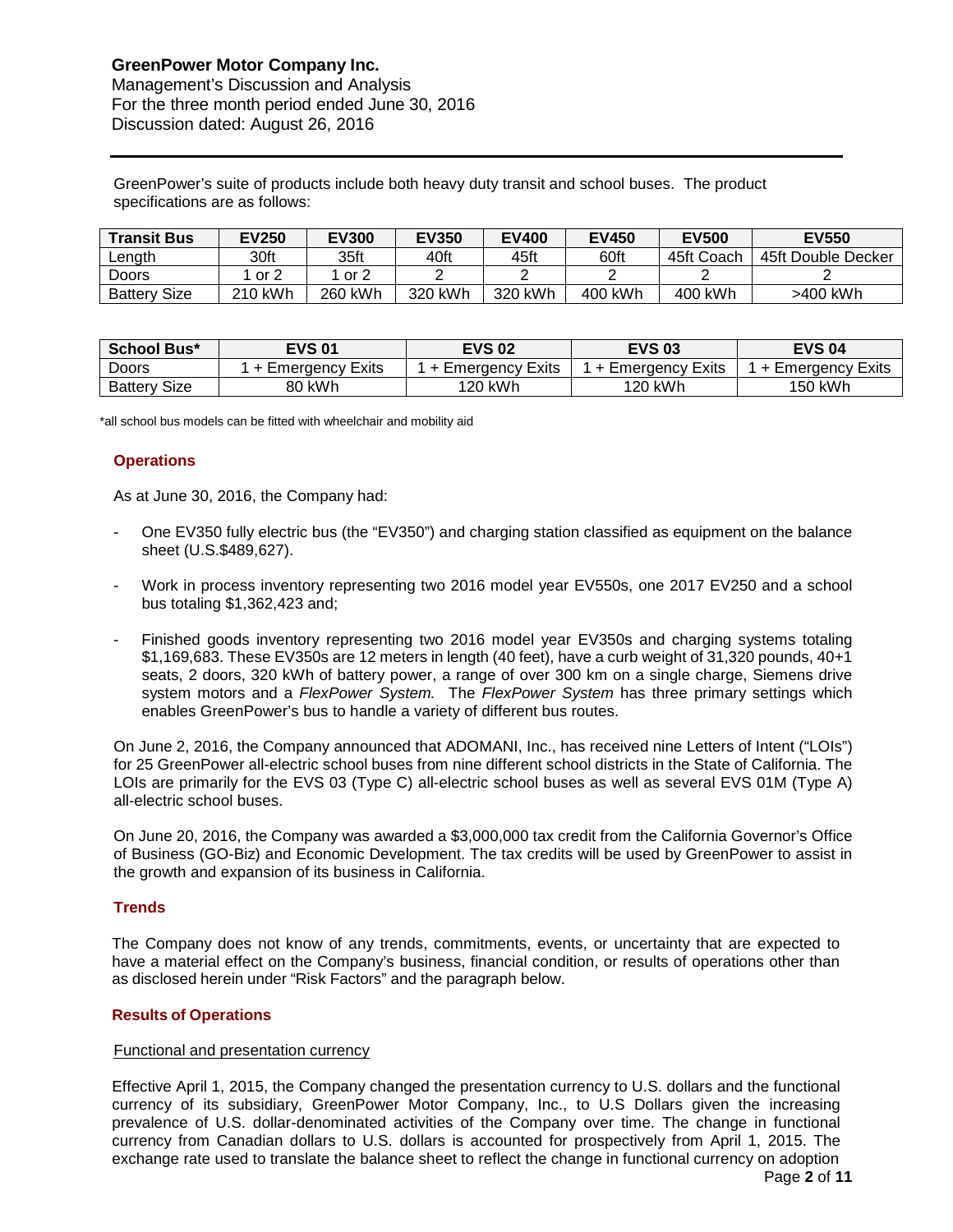GreenPower's suite of products include both heavy duty transit and school buses. The product specifications are as follows:

| <b>Transit Bus</b>  | <b>EV250</b> | <b>EV300</b> | <b>EV350</b> | <b>EV400</b> | <b>EV450</b> | <b>EV500</b> | <b>EV550</b>       |
|---------------------|--------------|--------------|--------------|--------------|--------------|--------------|--------------------|
| Length              | 30ft         | 35ft         | 40ft         | 45ft         | 60ft         | 45ft Coach   | 45ft Double Decker |
| Doors               | or 2         | or $2$       |              |              |              |              |                    |
| <b>Battery Size</b> | 210 kWh      | 260 kWh      | 320 kWh      | 320 kWh      | 400 kWh      | 400 kWh      | >400 kWh           |

| School Bus*         | <b>EVS 01</b>     | <b>EVS 02</b>          | <b>EVS 03</b>       | <b>EVS 04</b>     |  |  |
|---------------------|-------------------|------------------------|---------------------|-------------------|--|--|
| Doors               | + Emergency Exits | Exits<br>∣ + Emeraencv | l + Emeraencv Exits | + Emergency Exits |  |  |
| <b>Battery Size</b> | 80 kWh            | 120 kWh                | 120 kWh             | 150 kWh           |  |  |

\*all school bus models can be fitted with wheelchair and mobility aid

## **Operations**

As at June 30, 2016, the Company had:

- One EV350 fully electric bus (the "EV350") and charging station classified as equipment on the balance sheet (U.S.\$489,627).
- Work in process inventory representing two 2016 model year EV550s, one 2017 EV250 and a school bus totaling \$1,362,423 and;
- Finished goods inventory representing two 2016 model year EV350s and charging systems totaling \$1,169,683. These EV350s are 12 meters in length (40 feet), have a curb weight of 31,320 pounds, 40+1 seats, 2 doors, 320 kWh of battery power, a range of over 300 km on a single charge, Siemens drive system motors and a *FlexPower System.* The *FlexPower System* has three primary settings which enables GreenPower's bus to handle a variety of different bus routes.

On June 2, 2016, the Company announced that ADOMANI, Inc., has received nine Letters of Intent ("LOIs") for 25 GreenPower all-electric school buses from nine different school districts in the State of California. The LOIs are primarily for the EVS 03 (Type C) all-electric school buses as well as several EVS 01M (Type A) all-electric school buses.

On June 20, 2016, the Company was awarded a \$3,000,000 tax credit from the California Governor's Office of Business (GO-Biz) and Economic Development. The tax credits will be used by GreenPower to assist in the growth and expansion of its business in California.

## **Trends**

The Company does not know of any trends, commitments, events, or uncertainty that are expected to have a material effect on the Company's business, financial condition, or results of operations other than as disclosed herein under "Risk Factors" and the paragraph below.

## **Results of Operations**

#### Functional and presentation currency

Effective April 1, 2015, the Company changed the presentation currency to U.S. dollars and the functional currency of its subsidiary, GreenPower Motor Company, Inc., to U.S Dollars given the increasing prevalence of U.S. dollar-denominated activities of the Company over time. The change in functional currency from Canadian dollars to U.S. dollars is accounted for prospectively from April 1, 2015. The exchange rate used to translate the balance sheet to reflect the change in functional currency on adoption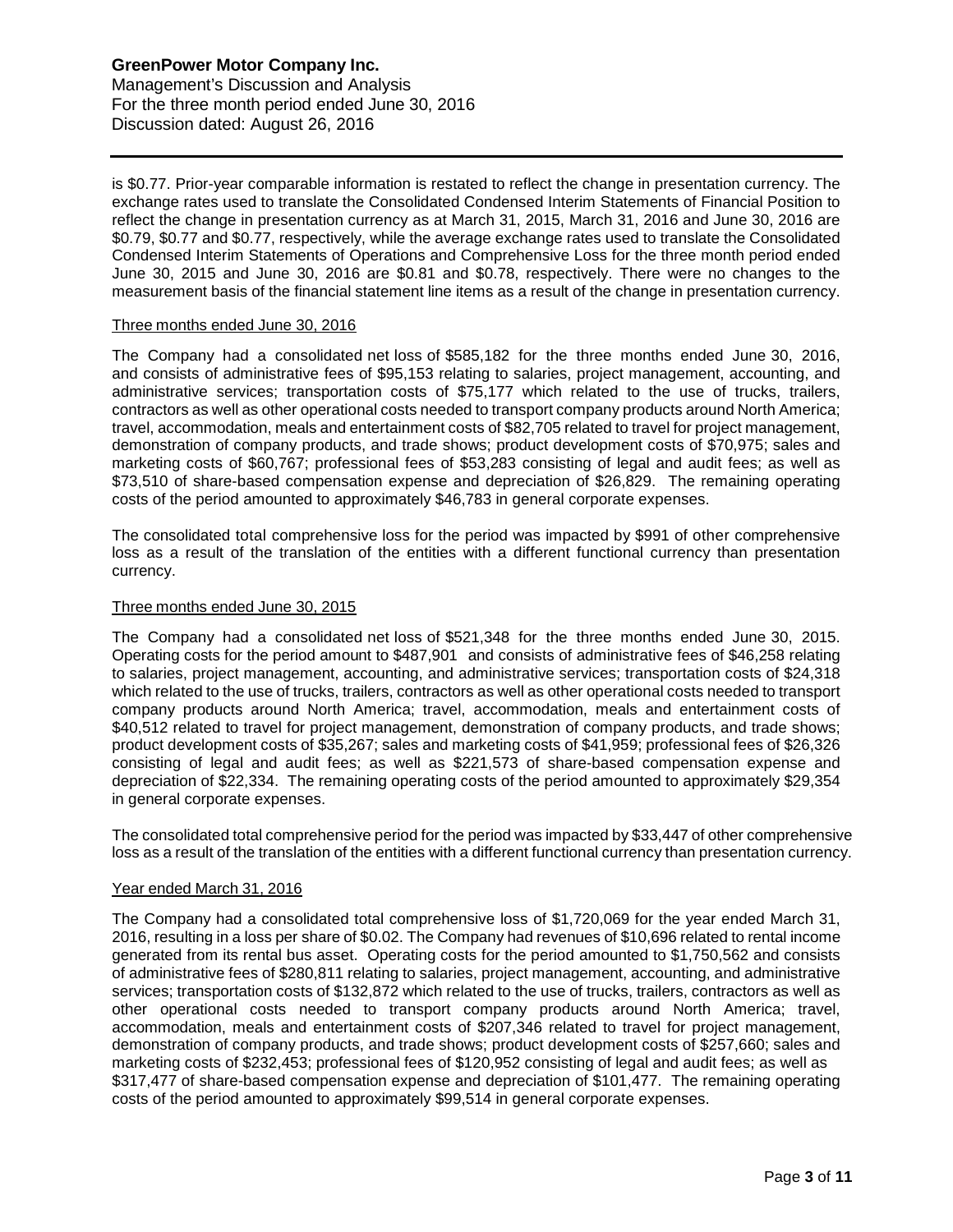is \$0.77. Prior-year comparable information is restated to reflect the change in presentation currency. The exchange rates used to translate the Consolidated Condensed Interim Statements of Financial Position to reflect the change in presentation currency as at March 31, 2015, March 31, 2016 and June 30, 2016 are \$0.79, \$0.77 and \$0.77, respectively, while the average exchange rates used to translate the Consolidated Condensed Interim Statements of Operations and Comprehensive Loss for the three month period ended June 30, 2015 and June 30, 2016 are \$0.81 and \$0.78, respectively. There were no changes to the measurement basis of the financial statement line items as a result of the change in presentation currency.

## Three months ended June 30, 2016

The Company had a consolidated net loss of \$585,182 for the three months ended June 30, 2016, and consists of administrative fees of \$95,153 relating to salaries, project management, accounting, and administrative services; transportation costs of \$75,177 which related to the use of trucks, trailers, contractors as well as other operational costs needed to transport company products around North America; travel, accommodation, meals and entertainment costs of \$82,705 related to travel for project management, demonstration of company products, and trade shows; product development costs of \$70,975; sales and marketing costs of \$60,767; professional fees of \$53,283 consisting of legal and audit fees; as well as \$73,510 of share-based compensation expense and depreciation of \$26,829. The remaining operating costs of the period amounted to approximately \$46,783 in general corporate expenses.

The consolidated total comprehensive loss for the period was impacted by \$991 of other comprehensive loss as a result of the translation of the entities with a different functional currency than presentation currency.

#### Three months ended June 30, 2015

The Company had a consolidated net loss of \$521,348 for the three months ended June 30, 2015. Operating costs for the period amount to \$487,901 and consists of administrative fees of \$46,258 relating to salaries, project management, accounting, and administrative services; transportation costs of \$24,318 which related to the use of trucks, trailers, contractors as well as other operational costs needed to transport company products around North America; travel, accommodation, meals and entertainment costs of \$40,512 related to travel for project management, demonstration of company products, and trade shows; product development costs of \$35,267; sales and marketing costs of \$41,959; professional fees of \$26,326 consisting of legal and audit fees; as well as \$221,573 of share-based compensation expense and depreciation of \$22,334. The remaining operating costs of the period amounted to approximately \$29,354 in general corporate expenses.

The consolidated total comprehensive period for the period was impacted by \$33,447 of other comprehensive loss as a result of the translation of the entities with a different functional currency than presentation currency.

#### Year ended March 31, 2016

The Company had a consolidated total comprehensive loss of \$1,720,069 for the year ended March 31, 2016, resulting in a loss per share of \$0.02. The Company had revenues of \$10,696 related to rental income generated from its rental bus asset. Operating costs for the period amounted to \$1,750,562 and consists of administrative fees of \$280,811 relating to salaries, project management, accounting, and administrative services; transportation costs of \$132,872 which related to the use of trucks, trailers, contractors as well as other operational costs needed to transport company products around North America; travel, accommodation, meals and entertainment costs of \$207,346 related to travel for project management, demonstration of company products, and trade shows; product development costs of \$257,660; sales and marketing costs of \$232,453; professional fees of \$120,952 consisting of legal and audit fees; as well as \$317,477 of share-based compensation expense and depreciation of \$101,477. The remaining operating costs of the period amounted to approximately \$99,514 in general corporate expenses.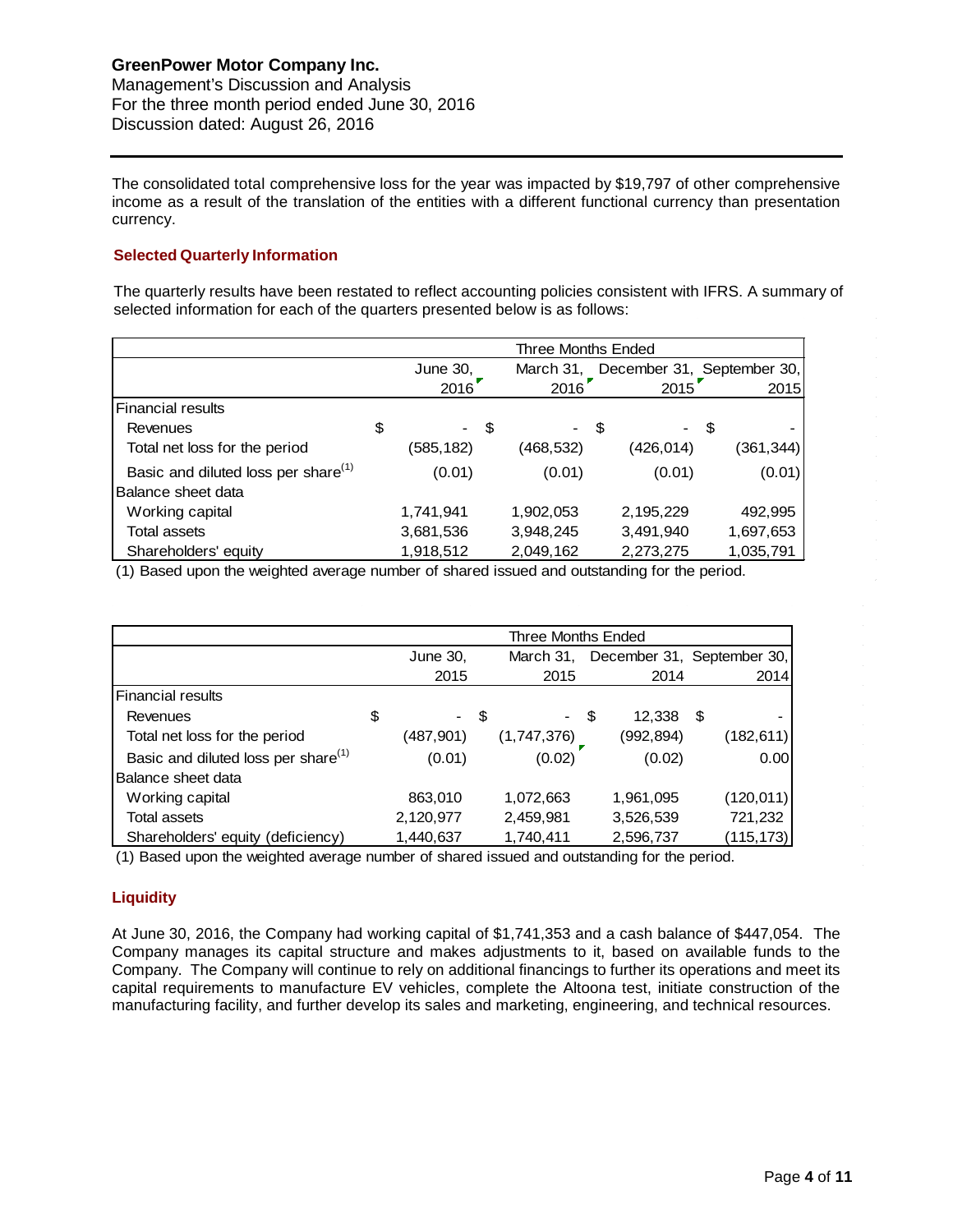The consolidated total comprehensive loss for the year was impacted by \$19,797 of other comprehensive income as a result of the translation of the entities with a different functional currency than presentation currency.

# **Selected Quarterly Information**

The quarterly results have been restated to reflect accounting policies consistent with IFRS. A summary of selected information for each of the quarters presented below is as follows:

|                                                 | Three Months Ended |           |      |           |                            |      |            |
|-------------------------------------------------|--------------------|-----------|------|-----------|----------------------------|------|------------|
|                                                 |                    | June 30,  |      | March 31, | December 31, September 30, |      |            |
|                                                 |                    | 2016      |      | 2016      | 2015                       |      | 2015       |
| <b>Financial results</b>                        |                    |           |      |           |                            |      |            |
| Revenues                                        | \$                 |           | - \$ | - \$      |                            | - \$ |            |
| Total net loss for the period                   |                    | (585,182) |      | (468,532) | (426,014)                  |      | (361, 344) |
| Basic and diluted loss per share <sup>(1)</sup> |                    | (0.01)    |      | (0.01)    | (0.01)                     |      | (0.01)     |
| Balance sheet data                              |                    |           |      |           |                            |      |            |
| Working capital                                 |                    | 1,741,941 |      | 1,902,053 | 2,195,229                  |      | 492,995    |
| Total assets                                    |                    | 3,681,536 |      | 3,948,245 | 3,491,940                  |      | 1,697,653  |
| Shareholders' equity                            |                    | 1,918,512 |      | 2,049,162 | 2,273,275                  |      | 1,035,791  |

(1) Based upon the weighted average number of shared issued and outstanding for the period.

|                                                 | Three Months Ended |           |  |             |  |           |      |                            |
|-------------------------------------------------|--------------------|-----------|--|-------------|--|-----------|------|----------------------------|
|                                                 |                    | June 30,  |  | March 31,   |  |           |      | December 31, September 30, |
|                                                 |                    | 2015      |  | 2015        |  | 2014      |      | 2014                       |
| <b>Financial results</b>                        |                    |           |  |             |  |           |      |                            |
| Revenues                                        | \$                 | - \$      |  | - \$        |  | 12,338    | - \$ |                            |
| Total net loss for the period                   |                    | (487,901) |  | (1,747,376) |  | (992,894) |      | (182,611)                  |
| Basic and diluted loss per share <sup>(1)</sup> |                    | (0.01)    |  | (0.02)      |  | (0.02)    |      | 0.00                       |
| Balance sheet data                              |                    |           |  |             |  |           |      |                            |
| Working capital                                 |                    | 863,010   |  | 1,072,663   |  | 1,961,095 |      | (120, 011)                 |
| <b>Total assets</b>                             |                    | 2,120,977 |  | 2,459,981   |  | 3,526,539 |      | 721,232                    |
| Shareholders' equity (deficiency)               |                    | 1,440,637 |  | 1,740,411   |  | 2,596,737 |      | (115, 173)                 |

(1) Based upon the weighted average number of shared issued and outstanding for the period.

# **Liquidity**

At June 30, 2016, the Company had working capital of \$1,741,353 and a cash balance of \$447,054. The Company manages its capital structure and makes adjustments to it, based on available funds to the Company. The Company will continue to rely on additional financings to further its operations and meet its capital requirements to manufacture EV vehicles, complete the Altoona test, initiate construction of the manufacturing facility, and further develop its sales and marketing, engineering, and technical resources.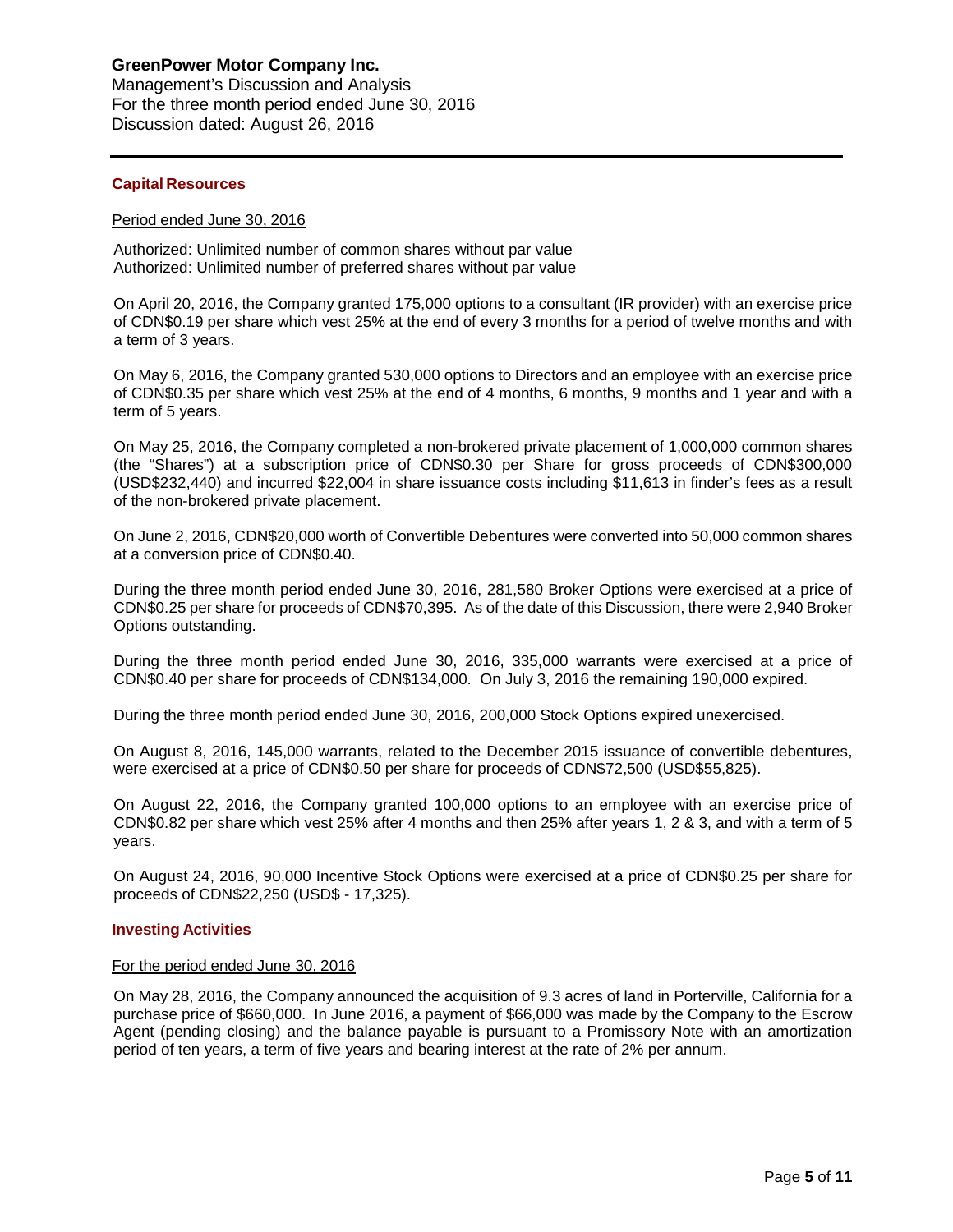# **GreenPower Motor Company Inc.**

Management's Discussion and Analysis For the three month period ended June 30, 2016 Discussion dated: August 26, 2016

## **Capital Resources**

#### Period ended June 30, 2016

Authorized: Unlimited number of common shares without par value Authorized: Unlimited number of preferred shares without par value

On April 20, 2016, the Company granted 175,000 options to a consultant (IR provider) with an exercise price of CDN\$0.19 per share which vest 25% at the end of every 3 months for a period of twelve months and with a term of 3 years.

On May 6, 2016, the Company granted 530,000 options to Directors and an employee with an exercise price of CDN\$0.35 per share which vest 25% at the end of 4 months, 6 months, 9 months and 1 year and with a term of 5 years.

On May 25, 2016, the Company completed a non-brokered private placement of 1,000,000 common shares (the "Shares") at a subscription price of CDN\$0.30 per Share for gross proceeds of CDN\$300,000 (USD\$232,440) and incurred \$22,004 in share issuance costs including \$11,613 in finder's fees as a result of the non-brokered private placement.

On June 2, 2016, CDN\$20,000 worth of Convertible Debentures were converted into 50,000 common shares at a conversion price of CDN\$0.40.

During the three month period ended June 30, 2016, 281,580 Broker Options were exercised at a price of CDN\$0.25 per share for proceeds of CDN\$70,395. As of the date of this Discussion, there were 2,940 Broker Options outstanding.

During the three month period ended June 30, 2016, 335,000 warrants were exercised at a price of CDN\$0.40 per share for proceeds of CDN\$134,000. On July 3, 2016 the remaining 190,000 expired.

During the three month period ended June 30, 2016, 200,000 Stock Options expired unexercised.

On August 8, 2016, 145,000 warrants, related to the December 2015 issuance of convertible debentures, were exercised at a price of CDN\$0.50 per share for proceeds of CDN\$72,500 (USD\$55,825).

On August 22, 2016, the Company granted 100,000 options to an employee with an exercise price of CDN\$0.82 per share which vest 25% after 4 months and then 25% after years 1, 2 & 3, and with a term of 5 years.

On August 24, 2016, 90,000 Incentive Stock Options were exercised at a price of CDN\$0.25 per share for proceeds of CDN\$22,250 (USD\$ - 17,325).

## **Investing Activities**

#### For the period ended June 30, 2016

On May 28, 2016, the Company announced the acquisition of 9.3 acres of land in Porterville, California for a purchase price of \$660,000. In June 2016, a payment of \$66,000 was made by the Company to the Escrow Agent (pending closing) and the balance payable is pursuant to a Promissory Note with an amortization period of ten years, a term of five years and bearing interest at the rate of 2% per annum.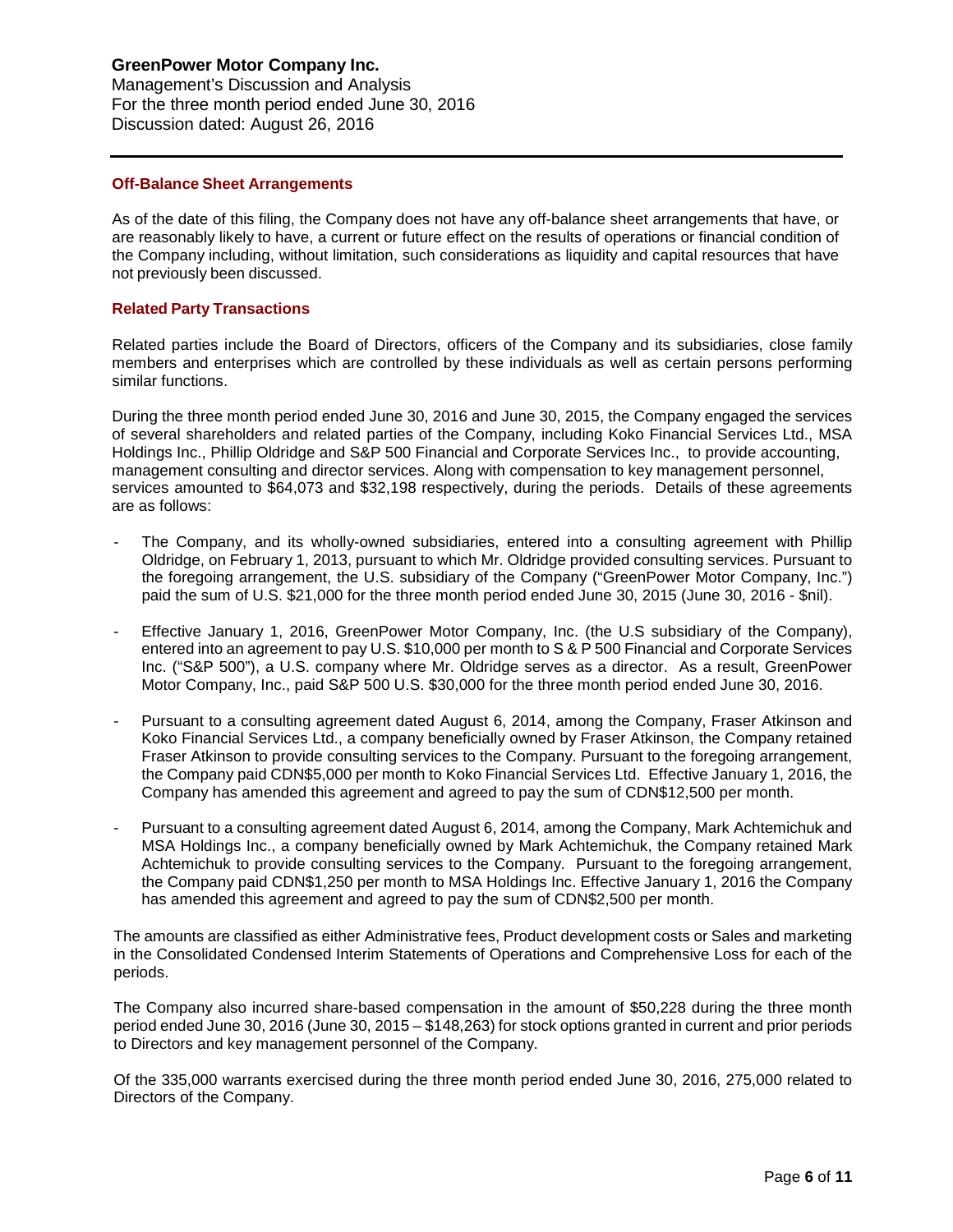# **GreenPower Motor Company Inc.**

Management's Discussion and Analysis For the three month period ended June 30, 2016 Discussion dated: August 26, 2016

## **Off-Balance Sheet Arrangements**

As of the date of this filing, the Company does not have any off-balance sheet arrangements that have, or are reasonably likely to have, a current or future effect on the results of operations or financial condition of the Company including, without limitation, such considerations as liquidity and capital resources that have not previously been discussed.

## **Related Party Transactions**

Related parties include the Board of Directors, officers of the Company and its subsidiaries, close family members and enterprises which are controlled by these individuals as well as certain persons performing similar functions.

During the three month period ended June 30, 2016 and June 30, 2015, the Company engaged the services of several shareholders and related parties of the Company, including Koko Financial Services Ltd., MSA Holdings Inc., Phillip Oldridge and S&P 500 Financial and Corporate Services Inc., to provide accounting, management consulting and director services. Along with compensation to key management personnel, services amounted to \$64,073 and \$32,198 respectively, during the periods. Details of these agreements are as follows:

- The Company, and its wholly-owned subsidiaries, entered into a consulting agreement with Phillip Oldridge, on February 1, 2013, pursuant to which Mr. Oldridge provided consulting services. Pursuant to the foregoing arrangement, the U.S. subsidiary of the Company ("GreenPower Motor Company, Inc.") paid the sum of U.S. \$21,000 for the three month period ended June 30, 2015 (June 30, 2016 - \$nil).
- Effective January 1, 2016, GreenPower Motor Company, Inc. (the U.S subsidiary of the Company), entered into an agreement to pay U.S. \$10,000 per month to S & P 500 Financial and Corporate Services Inc. ("S&P 500"), a U.S. company where Mr. Oldridge serves as a director. As a result, GreenPower Motor Company, Inc., paid S&P 500 U.S. \$30,000 for the three month period ended June 30, 2016.
- Pursuant to a consulting agreement dated August 6, 2014, among the Company, Fraser Atkinson and Koko Financial Services Ltd., a company beneficially owned by Fraser Atkinson, the Company retained Fraser Atkinson to provide consulting services to the Company. Pursuant to the foregoing arrangement, the Company paid CDN\$5,000 per month to Koko Financial Services Ltd. Effective January 1, 2016, the Company has amended this agreement and agreed to pay the sum of CDN\$12,500 per month.
- Pursuant to a consulting agreement dated August 6, 2014, among the Company, Mark Achtemichuk and MSA Holdings Inc., a company beneficially owned by Mark Achtemichuk, the Company retained Mark Achtemichuk to provide consulting services to the Company. Pursuant to the foregoing arrangement, the Company paid CDN\$1,250 per month to MSA Holdings Inc. Effective January 1, 2016 the Company has amended this agreement and agreed to pay the sum of CDN\$2,500 per month.

The amounts are classified as either Administrative fees, Product development costs or Sales and marketing in the Consolidated Condensed Interim Statements of Operations and Comprehensive Loss for each of the periods.

The Company also incurred share-based compensation in the amount of \$50,228 during the three month period ended June 30, 2016 (June 30, 2015 – \$148,263) for stock options granted in current and prior periods to Directors and key management personnel of the Company.

Of the 335,000 warrants exercised during the three month period ended June 30, 2016, 275,000 related to Directors of the Company.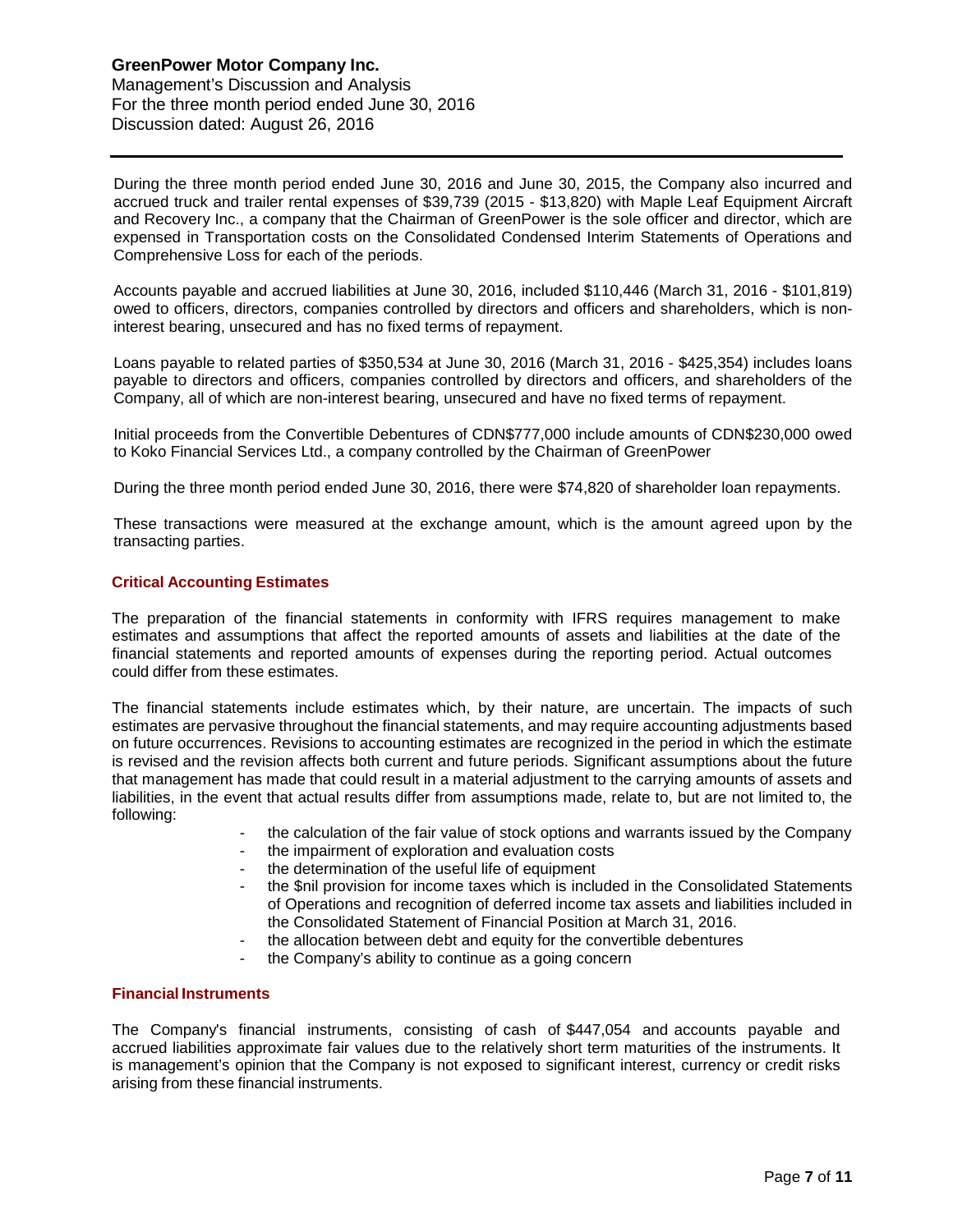During the three month period ended June 30, 2016 and June 30, 2015, the Company also incurred and accrued truck and trailer rental expenses of \$39,739 (2015 - \$13,820) with Maple Leaf Equipment Aircraft and Recovery Inc., a company that the Chairman of GreenPower is the sole officer and director, which are expensed in Transportation costs on the Consolidated Condensed Interim Statements of Operations and Comprehensive Loss for each of the periods.

Accounts payable and accrued liabilities at June 30, 2016, included \$110,446 (March 31, 2016 - \$101,819) owed to officers, directors, companies controlled by directors and officers and shareholders, which is noninterest bearing, unsecured and has no fixed terms of repayment.

Loans payable to related parties of \$350,534 at June 30, 2016 (March 31, 2016 - \$425,354) includes loans payable to directors and officers, companies controlled by directors and officers, and shareholders of the Company, all of which are non-interest bearing, unsecured and have no fixed terms of repayment.

Initial proceeds from the Convertible Debentures of CDN\$777,000 include amounts of CDN\$230,000 owed to Koko Financial Services Ltd., a company controlled by the Chairman of GreenPower

During the three month period ended June 30, 2016, there were \$74,820 of shareholder loan repayments.

These transactions were measured at the exchange amount, which is the amount agreed upon by the transacting parties.

## **Critical Accounting Estimates**

The preparation of the financial statements in conformity with IFRS requires management to make estimates and assumptions that affect the reported amounts of assets and liabilities at the date of the financial statements and reported amounts of expenses during the reporting period. Actual outcomes could differ from these estimates.

The financial statements include estimates which, by their nature, are uncertain. The impacts of such estimates are pervasive throughout the financial statements, and may require accounting adjustments based on future occurrences. Revisions to accounting estimates are recognized in the period in which the estimate is revised and the revision affects both current and future periods. Significant assumptions about the future that management has made that could result in a material adjustment to the carrying amounts of assets and liabilities, in the event that actual results differ from assumptions made, relate to, but are not limited to, the following:

- the calculation of the fair value of stock options and warrants issued by the Company
- the impairment of exploration and evaluation costs
- the determination of the useful life of equipment
- the \$nil provision for income taxes which is included in the Consolidated Statements of Operations and recognition of deferred income tax assets and liabilities included in the Consolidated Statement of Financial Position at March 31, 2016.
- the allocation between debt and equity for the convertible debentures
- the Company's ability to continue as a going concern

## **Financial Instruments**

The Company's financial instruments, consisting of cash of \$447,054 and accounts payable and accrued liabilities approximate fair values due to the relatively short term maturities of the instruments. It is management's opinion that the Company is not exposed to significant interest, currency or credit risks arising from these financial instruments.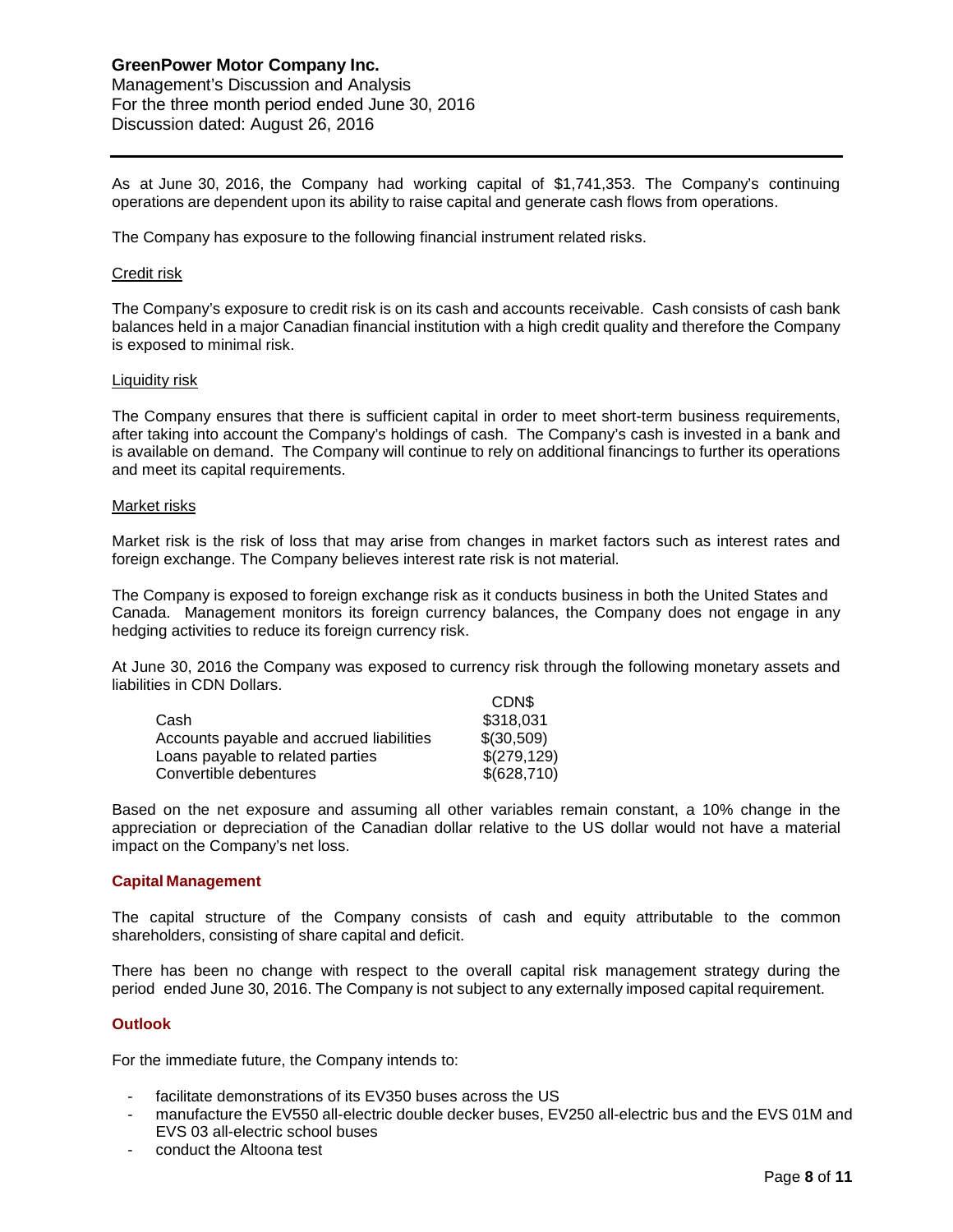As at June 30, 2016, the Company had working capital of \$1,741,353. The Company's continuing operations are dependent upon its ability to raise capital and generate cash flows from operations.

The Company has exposure to the following financial instrument related risks.

#### Credit risk

The Company's exposure to credit risk is on its cash and accounts receivable. Cash consists of cash bank balances held in a major Canadian financial institution with a high credit quality and therefore the Company is exposed to minimal risk.

#### Liquidity risk

The Company ensures that there is sufficient capital in order to meet short-term business requirements, after taking into account the Company's holdings of cash. The Company's cash is invested in a bank and is available on demand. The Company will continue to rely on additional financings to further its operations and meet its capital requirements.

#### Market risks

Market risk is the risk of loss that may arise from changes in market factors such as interest rates and foreign exchange. The Company believes interest rate risk is not material.

The Company is exposed to foreign exchange risk as it conducts business in both the United States and Canada. Management monitors its foreign currency balances, the Company does not engage in any hedging activities to reduce its foreign currency risk.

At June 30, 2016 the Company was exposed to currency risk through the following monetary assets and liabilities in CDN Dollars.  $CDN$ 

| <b>UDIND</b> |
|--------------|
| \$318,031    |
| \$(30,509)   |
| \$(279,129)  |
| \$(628,710)  |
|              |

Based on the net exposure and assuming all other variables remain constant, a 10% change in the appreciation or depreciation of the Canadian dollar relative to the US dollar would not have a material impact on the Company's net loss.

#### **Capital Management**

The capital structure of the Company consists of cash and equity attributable to the common shareholders, consisting of share capital and deficit.

There has been no change with respect to the overall capital risk management strategy during the period ended June 30, 2016. The Company is not subject to any externally imposed capital requirement.

#### **Outlook**

For the immediate future, the Company intends to:

- facilitate demonstrations of its EV350 buses across the US
- manufacture the EV550 all-electric double decker buses, EV250 all-electric bus and the EVS 01M and EVS 03 all-electric school buses
- conduct the Altoona test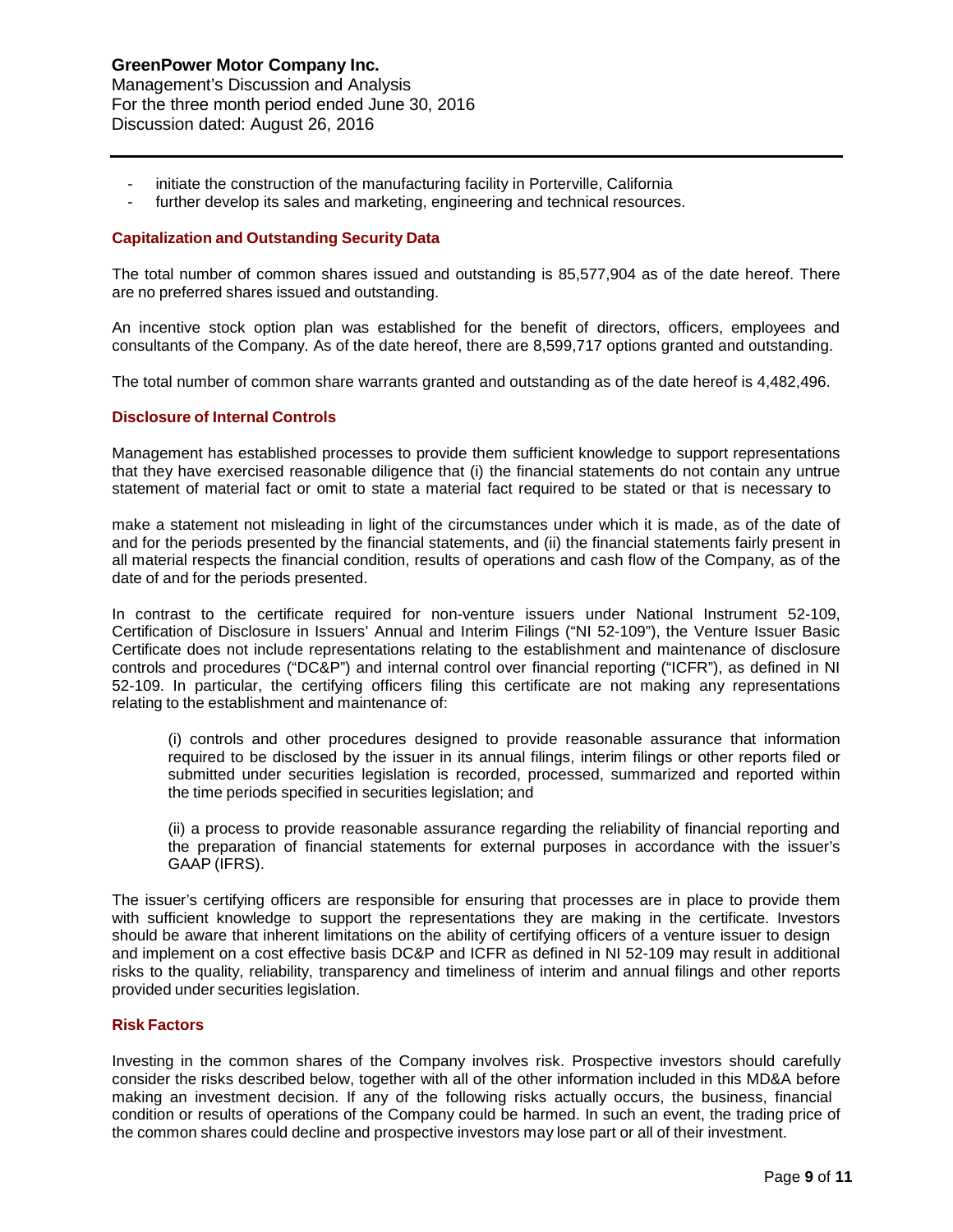- initiate the construction of the manufacturing facility in Porterville, California
- further develop its sales and marketing, engineering and technical resources.

## **Capitalization and Outstanding Security Data**

The total number of common shares issued and outstanding is 85,577,904 as of the date hereof. There are no preferred shares issued and outstanding.

An incentive stock option plan was established for the benefit of directors, officers, employees and consultants of the Company. As of the date hereof, there are 8,599,717 options granted and outstanding.

The total number of common share warrants granted and outstanding as of the date hereof is 4,482,496.

## **Disclosure of Internal Controls**

Management has established processes to provide them sufficient knowledge to support representations that they have exercised reasonable diligence that (i) the financial statements do not contain any untrue statement of material fact or omit to state a material fact required to be stated or that is necessary to

make a statement not misleading in light of the circumstances under which it is made, as of the date of and for the periods presented by the financial statements, and (ii) the financial statements fairly present in all material respects the financial condition, results of operations and cash flow of the Company, as of the date of and for the periods presented.

In contrast to the certificate required for non-venture issuers under National Instrument 52-109, Certification of Disclosure in Issuers' Annual and Interim Filings ("NI 52-109"), the Venture Issuer Basic Certificate does not include representations relating to the establishment and maintenance of disclosure controls and procedures ("DC&P") and internal control over financial reporting ("ICFR"), as defined in NI 52-109. In particular, the certifying officers filing this certificate are not making any representations relating to the establishment and maintenance of:

(i) controls and other procedures designed to provide reasonable assurance that information required to be disclosed by the issuer in its annual filings, interim filings or other reports filed or submitted under securities legislation is recorded, processed, summarized and reported within the time periods specified in securities legislation; and

(ii) a process to provide reasonable assurance regarding the reliability of financial reporting and the preparation of financial statements for external purposes in accordance with the issuer's GAAP (IFRS).

The issuer's certifying officers are responsible for ensuring that processes are in place to provide them with sufficient knowledge to support the representations they are making in the certificate. Investors should be aware that inherent limitations on the ability of certifying officers of a venture issuer to design and implement on a cost effective basis DC&P and ICFR as defined in NI 52-109 may result in additional risks to the quality, reliability, transparency and timeliness of interim and annual filings and other reports provided under securities legislation.

## **Risk Factors**

Investing in the common shares of the Company involves risk. Prospective investors should carefully consider the risks described below, together with all of the other information included in this MD&A before making an investment decision. If any of the following risks actually occurs, the business, financial condition or results of operations of the Company could be harmed. In such an event, the trading price of the common shares could decline and prospective investors may lose part or all of their investment.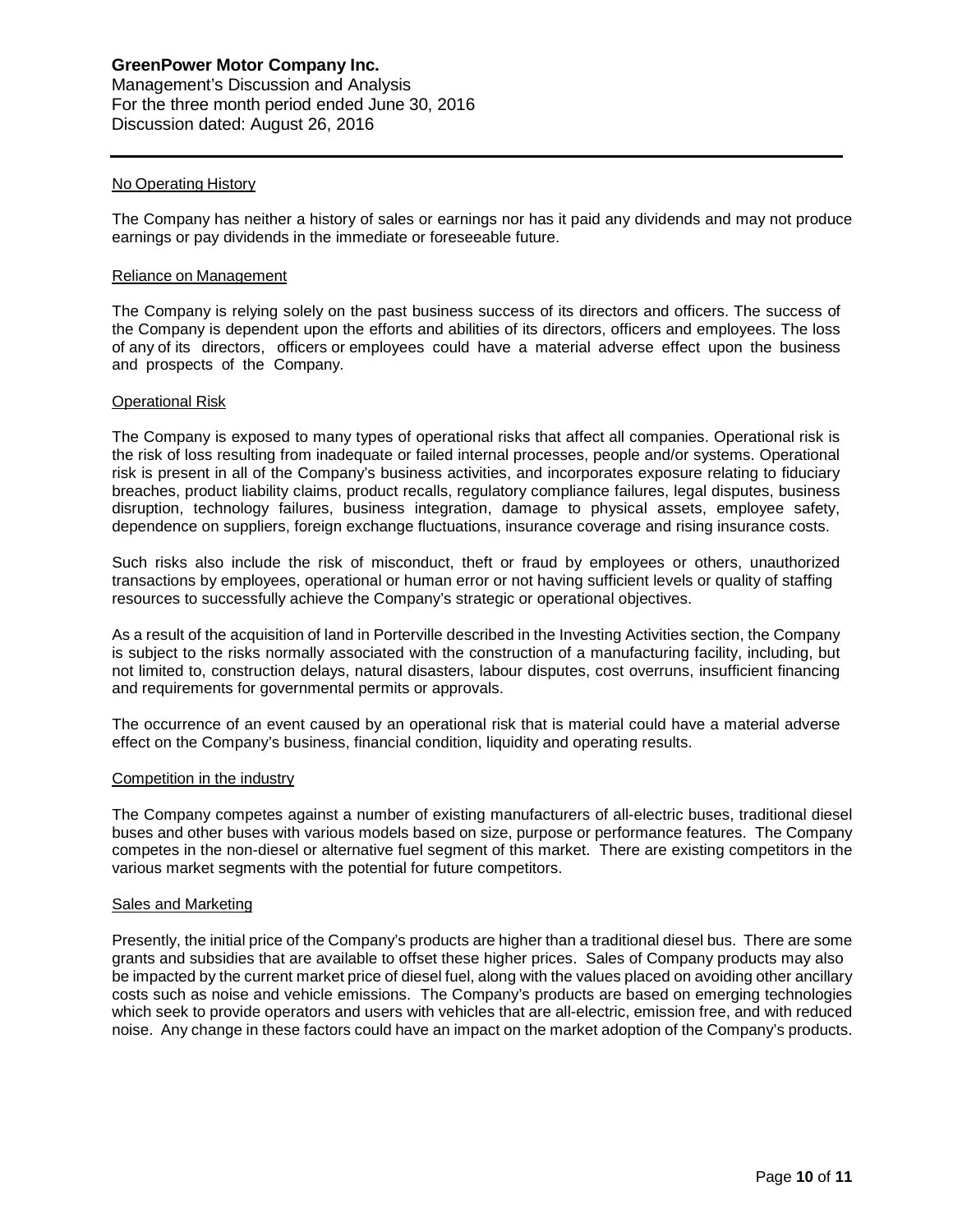## No Operating History

The Company has neither a history of sales or earnings nor has it paid any dividends and may not produce earnings or pay dividends in the immediate or foreseeable future.

#### Reliance on Management

The Company is relying solely on the past business success of its directors and officers. The success of the Company is dependent upon the efforts and abilities of its directors, officers and employees. The loss of any of its directors, officers or employees could have a material adverse effect upon the business and prospects of the Company.

## Operational Risk

The Company is exposed to many types of operational risks that affect all companies. Operational risk is the risk of loss resulting from inadequate or failed internal processes, people and/or systems. Operational risk is present in all of the Company's business activities, and incorporates exposure relating to fiduciary breaches, product liability claims, product recalls, regulatory compliance failures, legal disputes, business disruption, technology failures, business integration, damage to physical assets, employee safety, dependence on suppliers, foreign exchange fluctuations, insurance coverage and rising insurance costs.

Such risks also include the risk of misconduct, theft or fraud by employees or others, unauthorized transactions by employees, operational or human error or not having sufficient levels or quality of staffing resources to successfully achieve the Company's strategic or operational objectives.

As a result of the acquisition of land in Porterville described in the Investing Activities section, the Company is subject to the risks normally associated with the construction of a manufacturing facility, including, but not limited to, construction delays, natural disasters, labour disputes, cost overruns, insufficient financing and requirements for governmental permits or approvals.

The occurrence of an event caused by an operational risk that is material could have a material adverse effect on the Company's business, financial condition, liquidity and operating results.

#### Competition in the industry

The Company competes against a number of existing manufacturers of all-electric buses, traditional diesel buses and other buses with various models based on size, purpose or performance features. The Company competes in the non-diesel or alternative fuel segment of this market. There are existing competitors in the various market segments with the potential for future competitors.

#### Sales and Marketing

Presently, the initial price of the Company's products are higher than a traditional diesel bus. There are some grants and subsidies that are available to offset these higher prices. Sales of Company products may also be impacted by the current market price of diesel fuel, along with the values placed on avoiding other ancillary costs such as noise and vehicle emissions. The Company's products are based on emerging technologies which seek to provide operators and users with vehicles that are all-electric, emission free, and with reduced noise. Any change in these factors could have an impact on the market adoption of the Company's products.